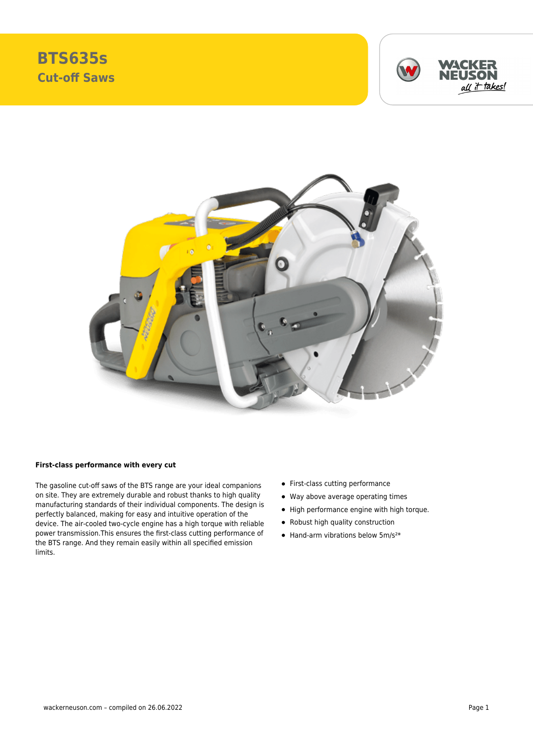





## **First-class performance with every cut**

The gasoline cut-off saws of the BTS range are your ideal companions on site. They are extremely durable and robust thanks to high quality manufacturing standards of their individual components. The design is perfectly balanced, making for easy and intuitive operation of the device. The air-cooled two-cycle engine has a high torque with reliable power transmission.This ensures the first-class cutting performance of the BTS range. And they remain easily within all specified emission limits.

- First-class cutting performance
- Way above average operating times
- High performance engine with high torque.
- Robust high quality construction
- $\bullet$  Hand-arm vibrations below 5m/s<sup>2\*</sup>